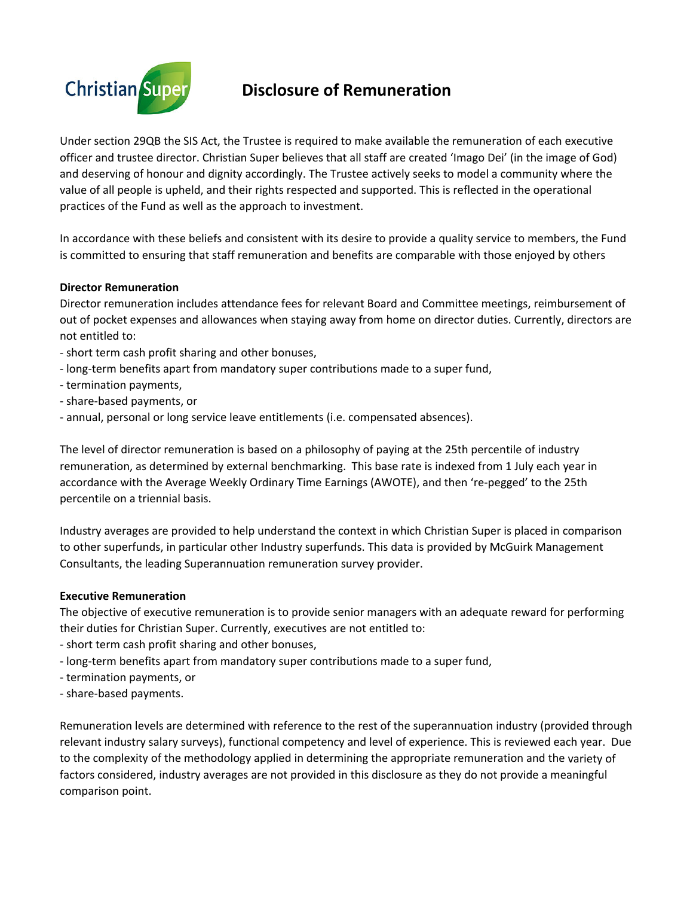

# **Disclosure of Remuneration**

Under section 29QB the SIS Act, the Trustee is required to make available the remuneration of each executive officer and trustee director. Christian Super believes that all staff are created 'Imago Dei' (in the image of God) and deserving of honour and dignity accordingly. The Trustee actively seeks to model a community where the value of all people is upheld, and their rights respected and supported. This is reflected in the operational practices of the Fund as well as the approach to investment.

In accordance with these beliefs and consistent with its desire to provide a quality service to members, the Fund is committed to ensuring that staff remuneration and benefits are comparable with those enjoyed by others

### **Director Remuneration**

Director remuneration includes attendance fees for relevant Board and Committee meetings, reimbursement of out of pocket expenses and allowances when staying away from home on director duties. Currently, directors are not entitled to:

- ‐ short term cash profit sharing and other bonuses,
- ‐ long‐term benefits apart from mandatory super contributions made to a super fund,
- ‐ termination payments,
- ‐ share‐based payments, or
- ‐ annual, personal or long service leave entitlements (i.e. compensated absences).

The level of director remuneration is based on a philosophy of paying at the 25th percentile of industry remuneration, as determined by external benchmarking. This base rate is indexed from 1 July each year in accordance with the Average Weekly Ordinary Time Earnings (AWOTE), and then 're‐pegged' to the 25th percentile on a triennial basis.

Industry averages are provided to help understand the context in which Christian Super is placed in comparison to other superfunds, in particular other Industry superfunds. This data is provided by McGuirk Management Consultants, the leading Superannuation remuneration survey provider.

#### **Executive Remuneration**

The objective of executive remuneration is to provide senior managers with an adequate reward for performing their duties for Christian Super. Currently, executives are not entitled to:

- ‐ short term cash profit sharing and other bonuses,
- ‐ long‐term benefits apart from mandatory super contributions made to a super fund,
- ‐ termination payments, or
- ‐ share‐based payments.

Remuneration levels are determined with reference to the rest of the superannuation industry (provided through relevant industry salary surveys), functional competency and level of experience. This is reviewed each year. Due to the complexity of the methodology applied in determining the appropriate remuneration and the variety of factors considered, industry averages are not provided in this disclosure as they do not provide a meaningful comparison point.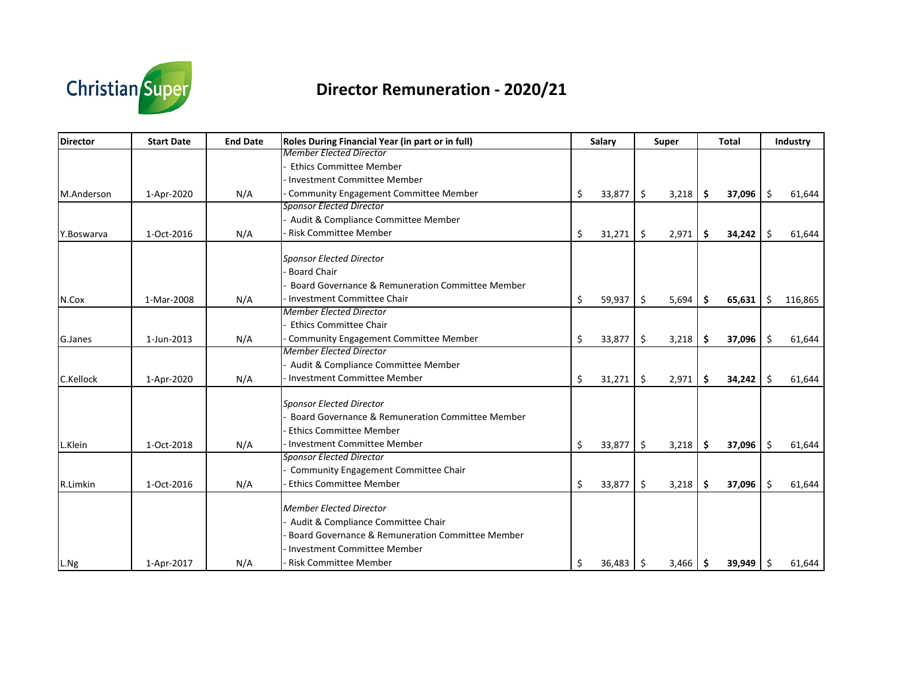

# **Director Remuneration ‐ 2020/21**

| <b>Director</b> | <b>Start Date</b> | <b>End Date</b> | Roles During Financial Year (in part or in full) | Salary       |         | <b>Super</b> |     | <b>Total</b> |     | Industry |
|-----------------|-------------------|-----------------|--------------------------------------------------|--------------|---------|--------------|-----|--------------|-----|----------|
|                 |                   |                 | <b>Member Elected Director</b>                   |              |         |              |     |              |     |          |
|                 |                   |                 | <b>Ethics Committee Member</b>                   |              |         |              |     |              |     |          |
|                 |                   |                 | <b>Investment Committee Member</b>               |              |         |              |     |              |     |          |
| M.Anderson      | 1-Apr-2020        | N/A             | <b>Community Engagement Committee Member</b>     | \$<br>33,877 | $\zeta$ | 3,218        | -\$ | 37,096       | -\$ | 61,644   |
|                 |                   |                 | <b>Sponsor Elected Director</b>                  |              |         |              |     |              |     |          |
|                 |                   |                 | Audit & Compliance Committee Member              |              |         |              |     |              |     |          |
| Y.Boswarva      | 1-Oct-2016        | N/A             | <b>Risk Committee Member</b>                     | \$<br>31,271 | \$      | 2,971        | \$  | 34,242       | -\$ | 61,644   |
|                 |                   |                 | <b>Sponsor Elected Director</b>                  |              |         |              |     |              |     |          |
|                 |                   |                 | <b>Board Chair</b>                               |              |         |              |     |              |     |          |
|                 |                   |                 | Board Governance & Remuneration Committee Member |              |         |              |     |              |     |          |
| N.Cox           | 1-Mar-2008        | N/A             | <b>Investment Committee Chair</b>                | \$<br>59,937 | \$      | 5,694        | \$  | 65,631       | \$  | 116,865  |
|                 |                   |                 | <b>Member Elected Director</b>                   |              |         |              |     |              |     |          |
|                 |                   |                 | <b>Ethics Committee Chair</b>                    |              |         |              |     |              |     |          |
| G.Janes         | 1-Jun-2013        | N/A             | <b>Community Engagement Committee Member</b>     | \$<br>33,877 | \$      | 3,218        | -\$ | 37,096       | -Ś  | 61,644   |
|                 |                   |                 | <b>Member Elected Director</b>                   |              |         |              |     |              |     |          |
|                 |                   |                 | Audit & Compliance Committee Member              |              |         |              |     |              |     |          |
| C.Kellock       | 1-Apr-2020        | N/A             | <b>Investment Committee Member</b>               | \$<br>31,271 | -\$     | 2,971        | \$  | 34,242       | S.  | 61,644   |
|                 |                   |                 | <b>Sponsor Elected Director</b>                  |              |         |              |     |              |     |          |
|                 |                   |                 | Board Governance & Remuneration Committee Member |              |         |              |     |              |     |          |
|                 |                   |                 | <b>Ethics Committee Member</b>                   |              |         |              |     |              |     |          |
|                 | 1-Oct-2018        |                 | <b>Investment Committee Member</b>               |              |         |              |     |              | Ŝ.  |          |
| L.Klein         |                   | N/A             | <b>Sponsor Elected Director</b>                  | \$<br>33,877 | \$      | 3,218        | Ś.  | 37,096       |     | 61,644   |
|                 |                   |                 | Community Engagement Committee Chair             |              |         |              |     |              |     |          |
|                 |                   |                 | <b>Ethics Committee Member</b>                   |              |         |              |     |              |     |          |
| R.Limkin        | 1-Oct-2016        | N/A             |                                                  | \$<br>33,877 | \$      | 3,218        | \$  | 37,096       | Ŝ.  | 61,644   |
|                 |                   |                 | <b>Member Elected Director</b>                   |              |         |              |     |              |     |          |
|                 |                   |                 | Audit & Compliance Committee Chair               |              |         |              |     |              |     |          |
|                 |                   |                 | Board Governance & Remuneration Committee Member |              |         |              |     |              |     |          |
|                 |                   |                 | Investment Committee Member                      |              |         |              |     |              |     |          |
| L.Ng            | 1-Apr-2017        | N/A             | <b>Risk Committee Member</b>                     | \$<br>36,483 | -\$     | $3,466$ \$   |     | 39,949       | -Ŝ  | 61,644   |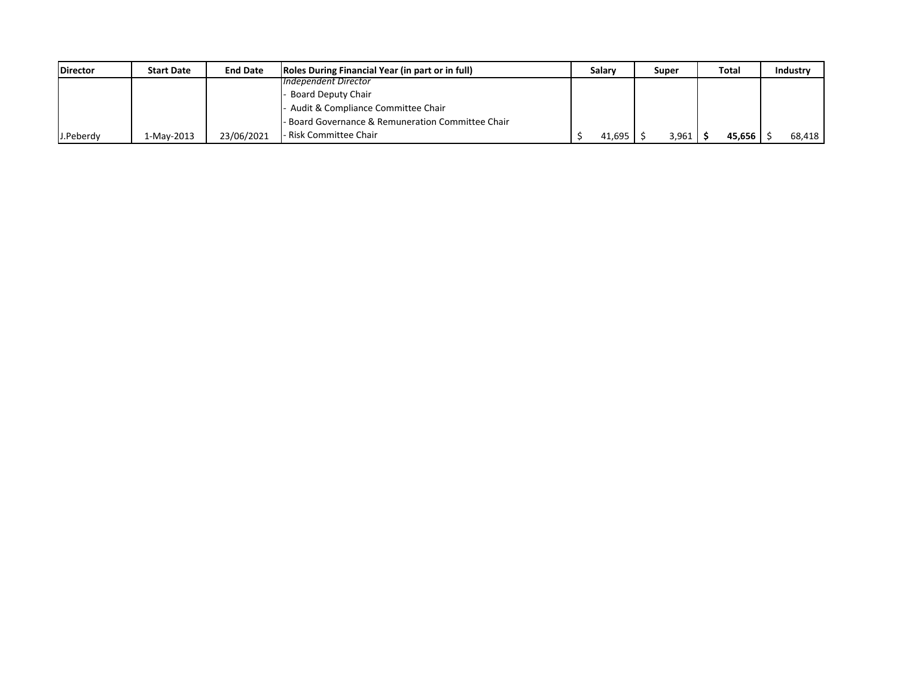| <b>IDirector</b> | <b>Start Date</b> | <b>End Date</b> | Roles During Financial Year (in part or in full) | <b>Salary</b> | Super | Total  | <b>Industry</b> |
|------------------|-------------------|-----------------|--------------------------------------------------|---------------|-------|--------|-----------------|
|                  |                   |                 | Independent Director                             |               |       |        |                 |
|                  |                   |                 | Board Deputy Chair                               |               |       |        |                 |
|                  |                   |                 | Audit & Compliance Committee Chair               |               |       |        |                 |
|                  |                   |                 | Board Governance & Remuneration Committee Chair  |               |       |        |                 |
| J.Peberdy        | 1-Mav-2013        | 23/06/2021      | - Risk Committee Chair                           | 41,695        | 3,961 | 45,656 | 68.418          |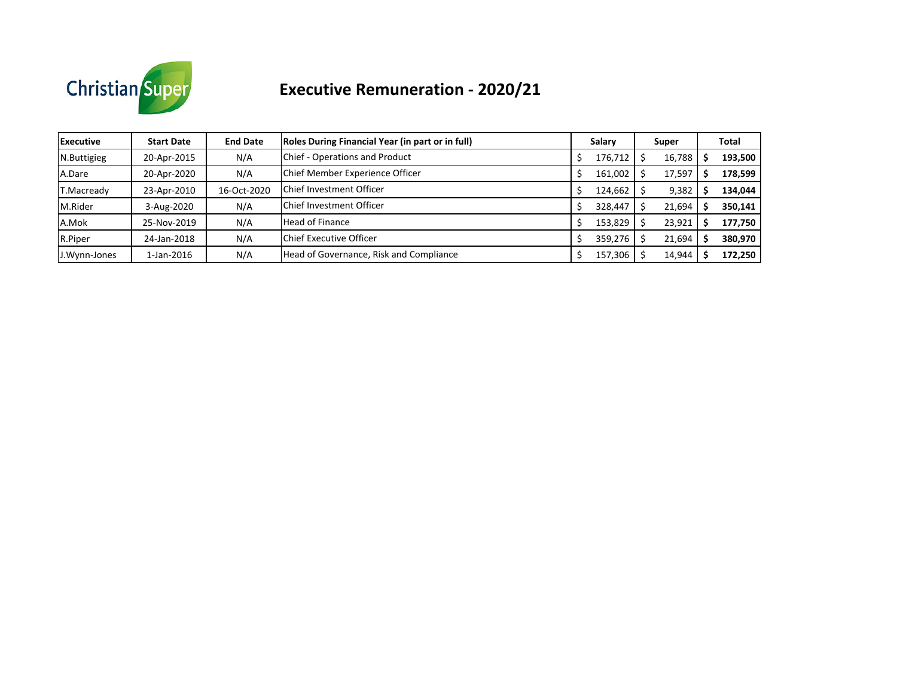

# **Executive Remuneration ‐ 2020/21**

| <b>Executive</b> | <b>Start Date</b> | <b>End Date</b> | Roles During Financial Year (in part or in full) | Salary  | Super  | Total   |
|------------------|-------------------|-----------------|--------------------------------------------------|---------|--------|---------|
| N.Buttigieg      | 20-Apr-2015       | N/A             | Chief - Operations and Product                   | 176,712 | 16,788 | 193,500 |
| A.Dare           | 20-Apr-2020       | N/A             | Chief Member Experience Officer                  | 161,002 | 17,597 | 178,599 |
| T.Macready       | 23-Apr-2010       | 16-Oct-2020     | <b>Chief Investment Officer</b>                  | 124,662 | 9,382  | 134,044 |
| M.Rider          | 3-Aug-2020        | N/A             | <b>Chief Investment Officer</b>                  | 328,447 | 21,694 | 350,141 |
| A.Mok            | 25-Nov-2019       | N/A             | <b>Head of Finance</b>                           | 153,829 | 23,921 | 177,750 |
| R.Piper          | 24-Jan-2018       | N/A             | Chief Executive Officer                          | 359,276 | 21,694 | 380,970 |
| J.Wynn-Jones     | 1-Jan-2016        | N/A             | Head of Governance, Risk and Compliance          | 157,306 | 14,944 | 172,250 |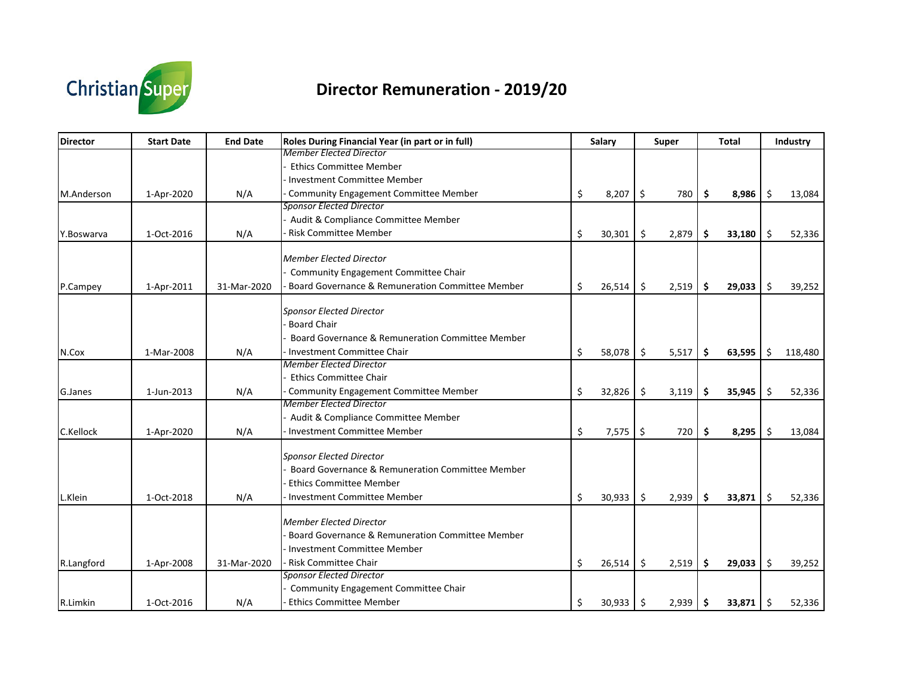

# **Director Remuneration ‐ 2019/20**

| Director   | <b>Start Date</b> | <b>End Date</b> | Roles During Financial Year (in part or in full)                                                | <b>Salary</b> |        | Super |       | <b>Total</b> |         | Industry |
|------------|-------------------|-----------------|-------------------------------------------------------------------------------------------------|---------------|--------|-------|-------|--------------|---------|----------|
|            |                   |                 | <b>Member Elected Director</b><br><b>Ethics Committee Member</b><br>Investment Committee Member |               |        |       |       |              |         |          |
| M.Anderson | 1-Apr-2020        | N/A             | Community Engagement Committee Member                                                           | \$            | 8,207  | \$    | 780   | \$<br>8,986  | -\$     | 13,084   |
|            |                   |                 | Sponsor Elected Director                                                                        |               |        |       |       |              |         |          |
|            |                   |                 | Audit & Compliance Committee Member                                                             |               |        |       |       |              |         |          |
| Y.Boswarva | 1-Oct-2016        | N/A             | <b>Risk Committee Member</b>                                                                    | \$            | 30,301 | \$    | 2,879 | \$<br>33,180 | -\$     | 52,336   |
|            |                   |                 | <b>Member Elected Director</b>                                                                  |               |        |       |       |              |         |          |
|            |                   |                 | Community Engagement Committee Chair                                                            |               |        |       |       |              |         |          |
| P.Campey   | 1-Apr-2011        | 31-Mar-2020     | Board Governance & Remuneration Committee Member                                                | \$            | 26,514 | \$    | 2,519 | \$<br>29,033 | \$      | 39,252   |
|            |                   |                 |                                                                                                 |               |        |       |       |              |         |          |
|            |                   |                 | Sponsor Elected Director                                                                        |               |        |       |       |              |         |          |
|            |                   |                 | <b>Board Chair</b>                                                                              |               |        |       |       |              |         |          |
|            |                   |                 | Board Governance & Remuneration Committee Member                                                |               |        |       |       |              |         |          |
| N.Cox      | 1-Mar-2008        | N/A             | Investment Committee Chair                                                                      | \$            | 58,078 | \$    | 5,517 | \$<br>63,595 | \$      | 118,480  |
|            |                   |                 | <b>Member Elected Director</b>                                                                  |               |        |       |       |              |         |          |
|            |                   |                 | <b>Ethics Committee Chair</b>                                                                   |               |        |       |       |              |         |          |
| G.Janes    | 1-Jun-2013        | N/A             | Community Engagement Committee Member                                                           | \$            | 32,826 | \$    | 3,119 | \$<br>35,945 | \$      | 52,336   |
|            |                   |                 | <b>Member Elected Director</b>                                                                  |               |        |       |       |              |         |          |
|            |                   |                 | - Audit & Compliance Committee Member                                                           |               |        |       |       |              |         |          |
| C.Kellock  | 1-Apr-2020        | N/A             | Investment Committee Member                                                                     | \$            | 7,575  | \$    | 720   | \$<br>8,295  | $\zeta$ | 13,084   |
|            |                   |                 |                                                                                                 |               |        |       |       |              |         |          |
|            |                   |                 | <b>Sponsor Elected Director</b>                                                                 |               |        |       |       |              |         |          |
|            |                   |                 | Board Governance & Remuneration Committee Member                                                |               |        |       |       |              |         |          |
|            |                   |                 | <b>Ethics Committee Member</b>                                                                  |               |        |       |       |              |         |          |
| L.Klein    | 1-Oct-2018        | N/A             | Investment Committee Member                                                                     | \$            | 30,933 | \$    | 2,939 | \$<br>33,871 | -\$     | 52,336   |
|            |                   |                 | <b>Member Elected Director</b>                                                                  |               |        |       |       |              |         |          |
|            |                   |                 | Board Governance & Remuneration Committee Member                                                |               |        |       |       |              |         |          |
|            |                   |                 | Investment Committee Member                                                                     |               |        |       |       |              |         |          |
| R.Langford | 1-Apr-2008        | 31-Mar-2020     | Risk Committee Chair                                                                            | \$            | 26,514 | Ŝ.    | 2,519 | \$<br>29,033 | -\$     | 39,252   |
|            |                   |                 | Sponsor Elected Director                                                                        |               |        |       |       |              |         |          |
|            |                   |                 | Community Engagement Committee Chair                                                            |               |        |       |       |              |         |          |
| R.Limkin   | 1-Oct-2016        | N/A             | <b>Ethics Committee Member</b>                                                                  |               |        | \$    |       | \$           | -\$     |          |
|            |                   |                 |                                                                                                 | \$            | 30,933 |       | 2,939 | 33,871       |         | 52,336   |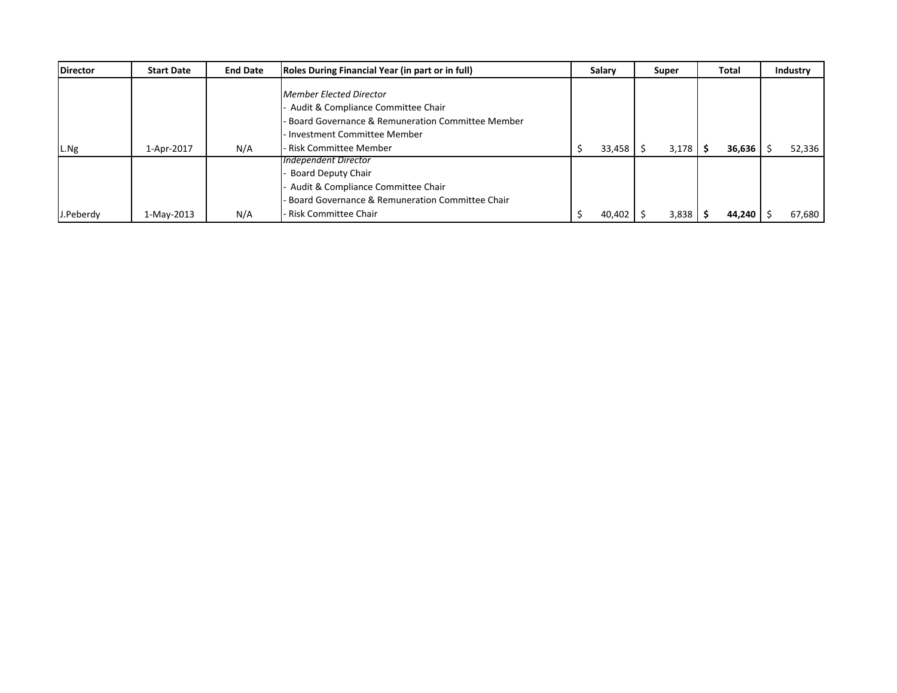| <b>Director</b> | <b>Start Date</b> | <b>End Date</b> | Roles During Financial Year (in part or in full)                                                                                                            | Salary | Super |       | Total |        | Industry |
|-----------------|-------------------|-----------------|-------------------------------------------------------------------------------------------------------------------------------------------------------------|--------|-------|-------|-------|--------|----------|
|                 |                   |                 | Member Elected Director<br>Audit & Compliance Committee Chair<br><b>Board Governance &amp; Remuneration Committee Member</b><br>Investment Committee Member |        |       |       |       |        |          |
| L.Ng            | 1-Apr-2017        | N/A             | - Risk Committee Member                                                                                                                                     | 33,458 |       | 3,178 | -S    | 36,636 | 52,336   |
|                 |                   |                 | Independent Director<br><b>Board Deputy Chair</b><br>Audit & Compliance Committee Chair<br>Board Governance & Remuneration Committee Chair                  |        |       |       |       |        |          |
| J.Peberdy       | 1-May-2013        | N/A             | - Risk Committee Chair                                                                                                                                      | 40,402 |       | 3,838 |       | 44,240 | 67,680   |